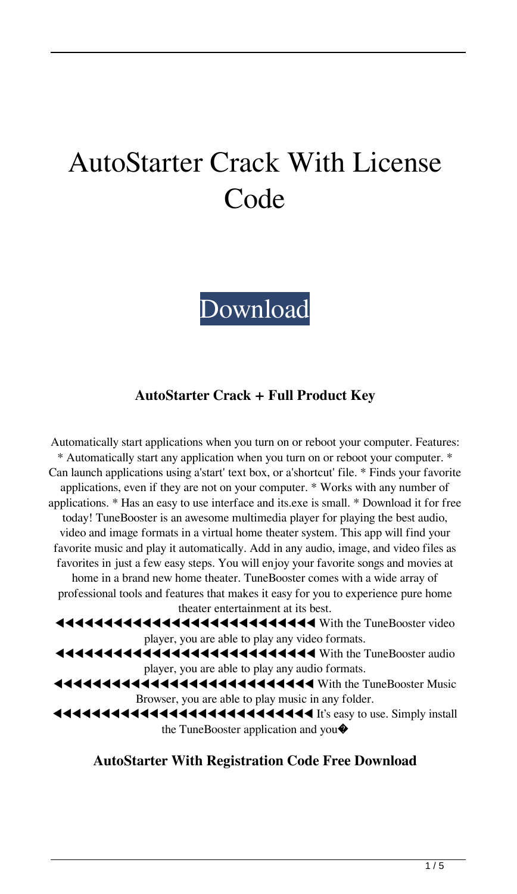# AutoStarter Crack With License Code

[Download](http://evacdir.com/bravery/burnings/QXV0b1N0YXJ0ZXIQXV?evangelista=&ZG93bmxvYWR8emI5TW05NmRYeDhNVFkxTkRVeU1qRXhNSHg4TWpVM05IeDhLRTBwSUhKbFlXUXRZbXh2WnlCYlJtRnpkQ0JIUlU1ZA=extrinsic)

#### **AutoStarter Crack + Full Product Key**

Automatically start applications when you turn on or reboot your computer. Features: \* Automatically start any application when you turn on or reboot your computer. \* Can launch applications using a'start' text box, or a'shortcut' file. \* Finds your favorite applications, even if they are not on your computer. \* Works with any number of applications. \* Has an easy to use interface and its.exe is small. \* Download it for free today! TuneBooster is an awesome multimedia player for playing the best audio, video and image formats in a virtual home theater system. This app will find your favorite music and play it automatically. Add in any audio, image, and video files as favorites in just a few easy steps. You will enjoy your favorite songs and movies at home in a brand new home theater. TuneBooster comes with a wide array of professional tools and features that makes it easy for you to experience pure home theater entertainment at its best. ◀◀◀◀◀◀◀◀◀◀◀◀◀◀◀◀◀◀◀◀◀◀◀◀◀◀◀ With the TuneBooster video player, you are able to play any video formats. ◀◀◀◀◀◀◀◀◀◀◀◀◀◀◀◀◀◀◀◀◀◀◀◀◀◀◀ With the TuneBooster audio player, you are able to play any audio formats.

◀◀◀◀◀◀◀◀◀◀◀◀◀◀◀◀◀◀◀◀◀◀◀◀◀◀◀ With the TuneBooster Music Browser, you are able to play music in any folder.

◀◀◀◀◀◀◀◀◀◀◀◀◀◀◀◀◀◀◀◀◀◀◀◀◀◀◀ It's easy to use. Simply install the TuneBooster application and you $\blacklozenge$ 

#### **AutoStarter With Registration Code Free Download**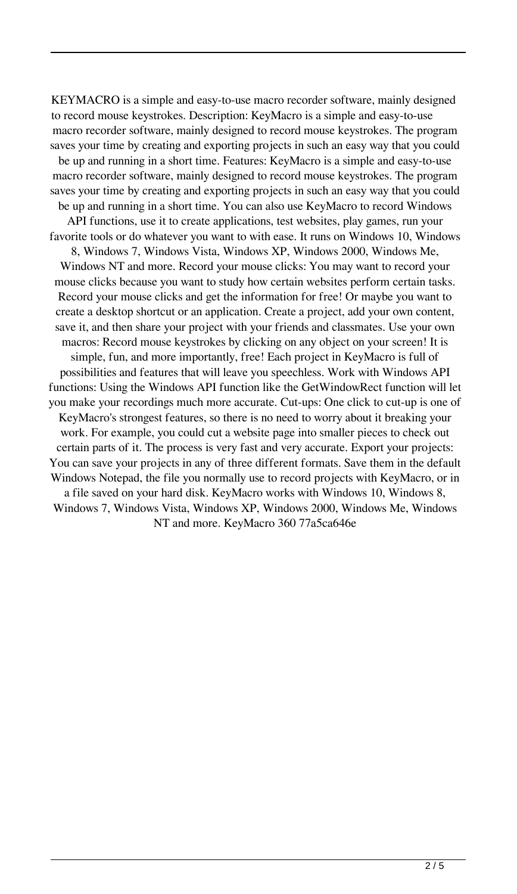KEYMACRO is a simple and easy-to-use macro recorder software, mainly designed to record mouse keystrokes. Description: KeyMacro is a simple and easy-to-use macro recorder software, mainly designed to record mouse keystrokes. The program saves your time by creating and exporting projects in such an easy way that you could be up and running in a short time. Features: KeyMacro is a simple and easy-to-use macro recorder software, mainly designed to record mouse keystrokes. The program saves your time by creating and exporting projects in such an easy way that you could be up and running in a short time. You can also use KeyMacro to record Windows API functions, use it to create applications, test websites, play games, run your favorite tools or do whatever you want to with ease. It runs on Windows 10, Windows 8, Windows 7, Windows Vista, Windows XP, Windows 2000, Windows Me, Windows NT and more. Record your mouse clicks: You may want to record your mouse clicks because you want to study how certain websites perform certain tasks. Record your mouse clicks and get the information for free! Or maybe you want to create a desktop shortcut or an application. Create a project, add your own content, save it, and then share your project with your friends and classmates. Use your own macros: Record mouse keystrokes by clicking on any object on your screen! It is simple, fun, and more importantly, free! Each project in KeyMacro is full of possibilities and features that will leave you speechless. Work with Windows API functions: Using the Windows API function like the GetWindowRect function will let you make your recordings much more accurate. Cut-ups: One click to cut-up is one of KeyMacro's strongest features, so there is no need to worry about it breaking your work. For example, you could cut a website page into smaller pieces to check out certain parts of it. The process is very fast and very accurate. Export your projects: You can save your projects in any of three different formats. Save them in the default Windows Notepad, the file you normally use to record projects with KeyMacro, or in a file saved on your hard disk. KeyMacro works with Windows 10, Windows 8, Windows 7, Windows Vista, Windows XP, Windows 2000, Windows Me, Windows NT and more. KeyMacro 360 77a5ca646e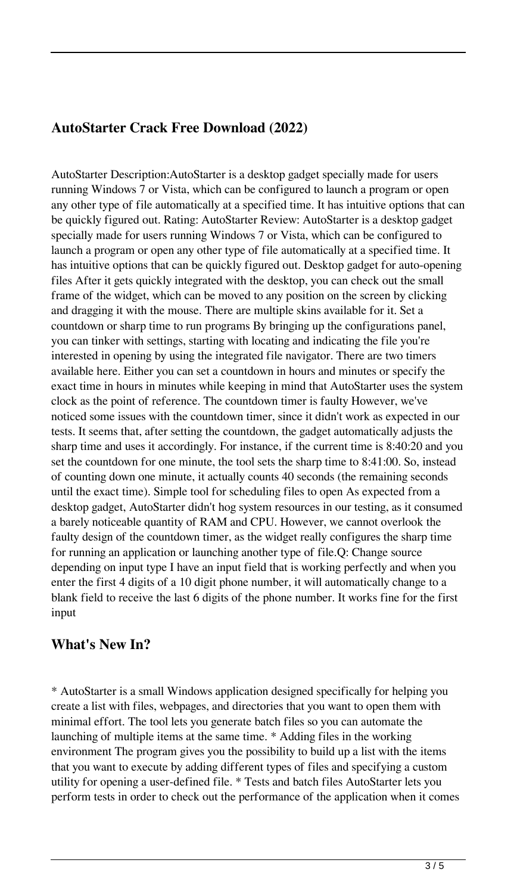## **AutoStarter Crack Free Download (2022)**

AutoStarter Description:AutoStarter is a desktop gadget specially made for users running Windows 7 or Vista, which can be configured to launch a program or open any other type of file automatically at a specified time. It has intuitive options that can be quickly figured out. Rating: AutoStarter Review: AutoStarter is a desktop gadget specially made for users running Windows 7 or Vista, which can be configured to launch a program or open any other type of file automatically at a specified time. It has intuitive options that can be quickly figured out. Desktop gadget for auto-opening files After it gets quickly integrated with the desktop, you can check out the small frame of the widget, which can be moved to any position on the screen by clicking and dragging it with the mouse. There are multiple skins available for it. Set a countdown or sharp time to run programs By bringing up the configurations panel, you can tinker with settings, starting with locating and indicating the file you're interested in opening by using the integrated file navigator. There are two timers available here. Either you can set a countdown in hours and minutes or specify the exact time in hours in minutes while keeping in mind that AutoStarter uses the system clock as the point of reference. The countdown timer is faulty However, we've noticed some issues with the countdown timer, since it didn't work as expected in our tests. It seems that, after setting the countdown, the gadget automatically adjusts the sharp time and uses it accordingly. For instance, if the current time is 8:40:20 and you set the countdown for one minute, the tool sets the sharp time to 8:41:00. So, instead of counting down one minute, it actually counts 40 seconds (the remaining seconds until the exact time). Simple tool for scheduling files to open As expected from a desktop gadget, AutoStarter didn't hog system resources in our testing, as it consumed a barely noticeable quantity of RAM and CPU. However, we cannot overlook the faulty design of the countdown timer, as the widget really configures the sharp time for running an application or launching another type of file.Q: Change source depending on input type I have an input field that is working perfectly and when you enter the first 4 digits of a 10 digit phone number, it will automatically change to a blank field to receive the last 6 digits of the phone number. It works fine for the first input

### **What's New In?**

\* AutoStarter is a small Windows application designed specifically for helping you create a list with files, webpages, and directories that you want to open them with minimal effort. The tool lets you generate batch files so you can automate the launching of multiple items at the same time. \* Adding files in the working environment The program gives you the possibility to build up a list with the items that you want to execute by adding different types of files and specifying a custom utility for opening a user-defined file. \* Tests and batch files AutoStarter lets you perform tests in order to check out the performance of the application when it comes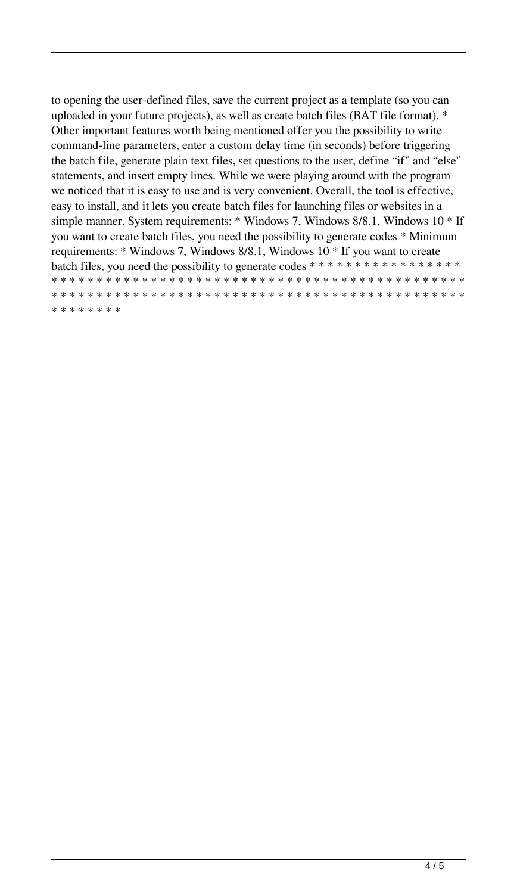to opening the user-defined files, save the current project as a template (so you can uploaded in your future projects), as well as create batch files (BAT file format). \* Other important features worth being mentioned offer you the possibility to write command-line parameters, enter a custom delay time (in seconds) before triggering the batch file, generate plain text files, set questions to the user, define "if" and "else" statements, and insert empty lines. While we were playing around with the program we noticed that it is easy to use and is very convenient. Overall, the tool is effective, easy to install, and it lets you create batch files for launching files or websites in a simple manner. System requirements: \* Windows 7, Windows 8/8.1, Windows 10 \* If you want to create batch files, you need the possibility to generate codes \* Minimum requirements: \* Windows 7, Windows 8/8.1, Windows 10 \* If you want to create batch files, you need the possibility to generate codes \*\*\*\*\*\*\*\*\*\*\*\*\*\*\*\*\* \* \* \* \* \* \* \* \*